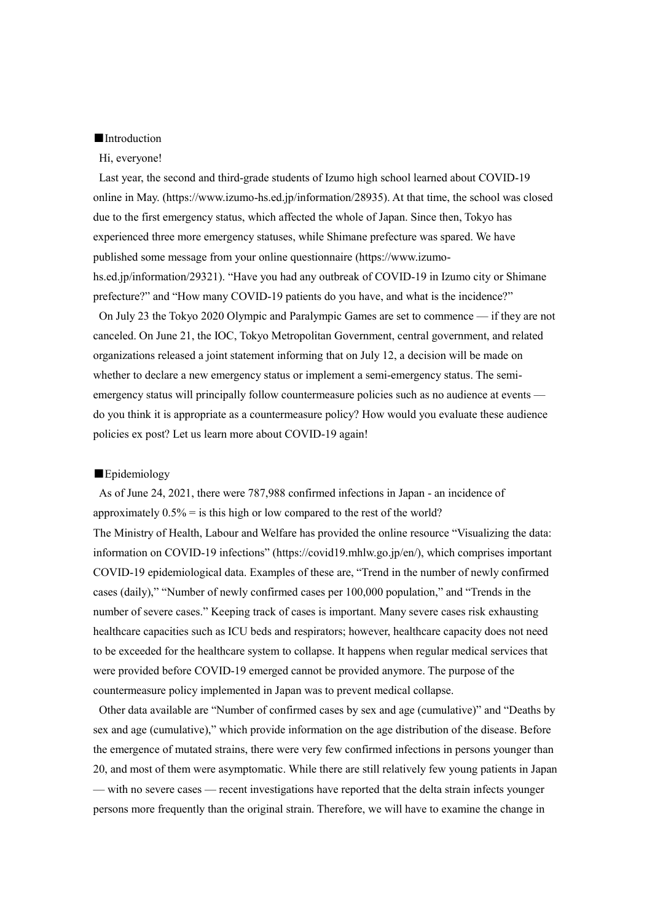### ■Introduction

#### Hi, everyone!

Last year, the second and third-grade students of Izumo high school learned about COVID-19 online in May. (https://www.izumo-hs.ed.jp/information/28935). At that time, the school was closed due to the first emergency status, which affected the whole of Japan. Since then, Tokyo has experienced three more emergency statuses, while Shimane prefecture was spared. We have published some message from your online questionnaire (https://www.izumohs.ed.jp/information/29321). "Have you had any outbreak of COVID-19 in Izumo city or Shimane prefecture?" and "How many COVID-19 patients do you have, and what is the incidence?"

On July 23 the Tokyo 2020 Olympic and Paralympic Games are set to commence — if they are not canceled. On June 21, the IOC, Tokyo Metropolitan Government, central government, and related organizations released a joint statement informing that on July 12, a decision will be made on whether to declare a new emergency status or implement a semi-emergency status. The semiemergency status will principally follow countermeasure policies such as no audience at events do you think it is appropriate as a countermeasure policy? How would you evaluate these audience policies ex post? Let us learn more about COVID-19 again!

## ■Epidemiology

As of June 24, 2021, there were 787,988 confirmed infections in Japan - an incidence of approximately  $0.5\%$  = is this high or low compared to the rest of the world? The Ministry of Health, Labour and Welfare has provided the online resource "Visualizing the data: information on COVID-19 infections" (https://covid19.mhlw.go.jp/en/), which comprises important COVID-19 epidemiological data. Examples of these are, "Trend in the number of newly confirmed cases (daily)," "Number of newly confirmed cases per 100,000 population," and "Trends in the number of severe cases." Keeping track of cases is important. Many severe cases risk exhausting healthcare capacities such as ICU beds and respirators; however, healthcare capacity does not need to be exceeded for the healthcare system to collapse. It happens when regular medical services that were provided before COVID-19 emerged cannot be provided anymore. The purpose of the countermeasure policy implemented in Japan was to prevent medical collapse.

Other data available are "Number of confirmed cases by sex and age (cumulative)" and "Deaths by sex and age (cumulative)," which provide information on the age distribution of the disease. Before the emergence of mutated strains, there were very few confirmed infections in persons younger than 20, and most of them were asymptomatic. While there are still relatively few young patients in Japan — with no severe cases — recent investigations have reported that the delta strain infects younger persons more frequently than the original strain. Therefore, we will have to examine the change in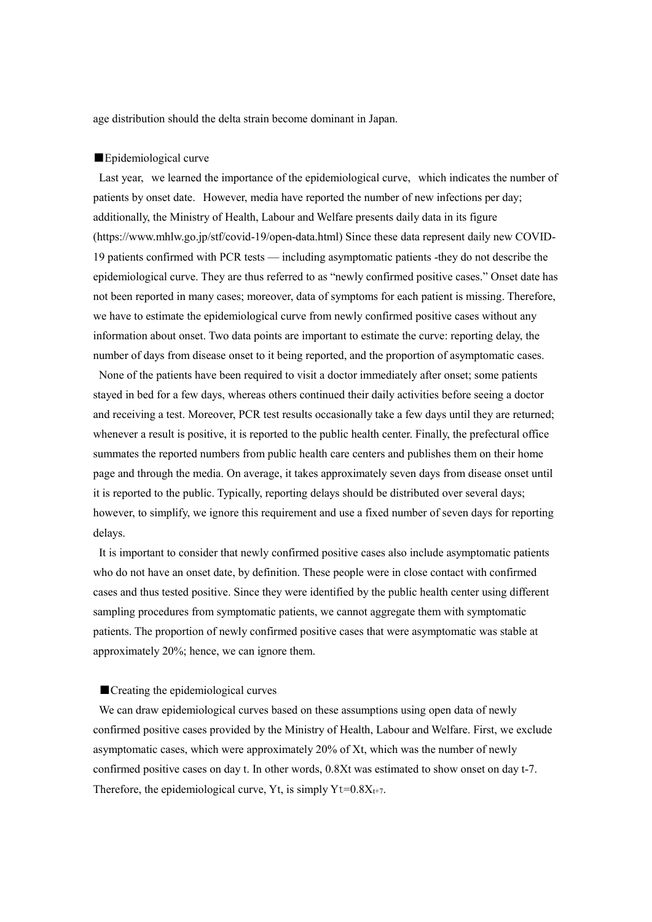age distribution should the delta strain become dominant in Japan.

### ■Epidemiological curve

Last year, we learned the importance of the epidemiological curve, which indicates the number of patients by onset date. However, media have reported the number of new infections per day; additionally, the Ministry of Health, Labour and Welfare presents daily data in its figure (https://www.mhlw.go.jp/stf/covid-19/open-data.html) Since these data represent daily new COVID-19 patients confirmed with PCR tests — including asymptomatic patients -they do not describe the epidemiological curve. They are thus referred to as "newly confirmed positive cases." Onset date has not been reported in many cases; moreover, data of symptoms for each patient is missing. Therefore, we have to estimate the epidemiological curve from newly confirmed positive cases without any information about onset. Two data points are important to estimate the curve: reporting delay, the number of days from disease onset to it being reported, and the proportion of asymptomatic cases.

None of the patients have been required to visit a doctor immediately after onset; some patients stayed in bed for a few days, whereas others continued their daily activities before seeing a doctor and receiving a test. Moreover, PCR test results occasionally take a few days until they are returned; whenever a result is positive, it is reported to the public health center. Finally, the prefectural office summates the reported numbers from public health care centers and publishes them on their home page and through the media. On average, it takes approximately seven days from disease onset until it is reported to the public. Typically, reporting delays should be distributed over several days; however, to simplify, we ignore this requirement and use a fixed number of seven days for reporting delays.

It is important to consider that newly confirmed positive cases also include asymptomatic patients who do not have an onset date, by definition. These people were in close contact with confirmed cases and thus tested positive. Since they were identified by the public health center using different sampling procedures from symptomatic patients, we cannot aggregate them with symptomatic patients. The proportion of newly confirmed positive cases that were asymptomatic was stable at approximately 20%; hence, we can ignore them.

## ■ Creating the epidemiological curves

We can draw epidemiological curves based on these assumptions using open data of newly confirmed positive cases provided by the Ministry of Health, Labour and Welfare. First, we exclude asymptomatic cases, which were approximately 20% of Xt, which was the number of newly confirmed positive cases on day t. In other words, 0.8Xt was estimated to show onset on day t-7. Therefore, the epidemiological curve, Yt, is simply  $Yt=0.8X_{t+7}$ .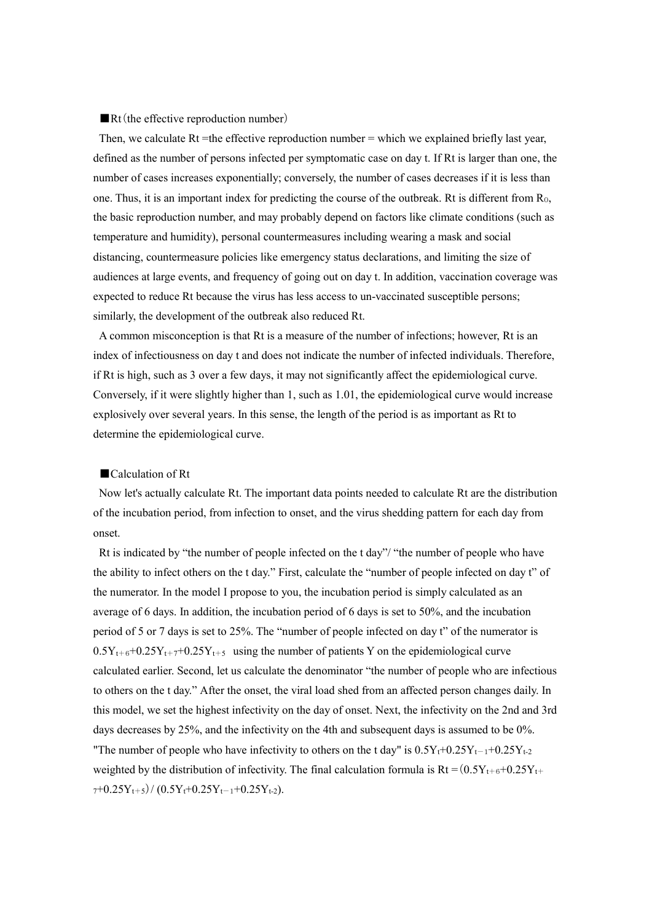## ■Rt(the effective reproduction number)

Then, we calculate Rt =the effective reproduction number = which we explained briefly last year, defined as the number of persons infected per symptomatic case on day t. If Rt is larger than one, the number of cases increases exponentially; conversely, the number of cases decreases if it is less than one. Thus, it is an important index for predicting the course of the outbreak. Rt is different from  $R_0$ , the basic reproduction number, and may probably depend on factors like climate conditions (such as temperature and humidity), personal countermeasures including wearing a mask and social distancing, countermeasure policies like emergency status declarations, and limiting the size of audiences at large events, and frequency of going out on day t. In addition, vaccination coverage was expected to reduce Rt because the virus has less access to un-vaccinated susceptible persons; similarly, the development of the outbreak also reduced Rt.

A common misconception is that Rt is a measure of the number of infections; however, Rt is an index of infectiousness on day t and does not indicate the number of infected individuals. Therefore, if Rt is high, such as 3 over a few days, it may not significantly affect the epidemiological curve. Conversely, if it were slightly higher than 1, such as 1.01, the epidemiological curve would increase explosively over several years. In this sense, the length of the period is as important as Rt to determine the epidemiological curve.

# ■Calculation of Rt

Now let's actually calculate Rt. The important data points needed to calculate Rt are the distribution of the incubation period, from infection to onset, and the virus shedding pattern for each day from onset.

Rt is indicated by "the number of people infected on the t day"/ "the number of people who have the ability to infect others on the t day." First, calculate the "number of people infected on day t" of the numerator. In the model I propose to you, the incubation period is simply calculated as an average of 6 days. In addition, the incubation period of 6 days is set to 50%, and the incubation period of 5 or 7 days is set to 25%. The "number of people infected on day t" of the numerator is  $0.5Y_{t+6}+0.25Y_{t+7}+0.25Y_{t+5}$  using the number of patients Y on the epidemiological curve calculated earlier. Second, let us calculate the denominator "the number of people who are infectious to others on the t day." After the onset, the viral load shed from an affected person changes daily. In this model, we set the highest infectivity on the day of onset. Next, the infectivity on the 2nd and 3rd days decreases by 25%, and the infectivity on the 4th and subsequent days is assumed to be 0%. "The number of people who have infectivity to others on the t day" is  $0.5Y_t+0.25Y_{t-1}+0.25Y_{t-2}$ weighted by the distribution of infectivity. The final calculation formula is  $Rt = (0.5Y_{t+6}+0.25Y_{t+6}$  $_{7}+0.25Y_{t+5})/(0.5Y_{t}+0.25Y_{t-1}+0.25Y_{t-2}).$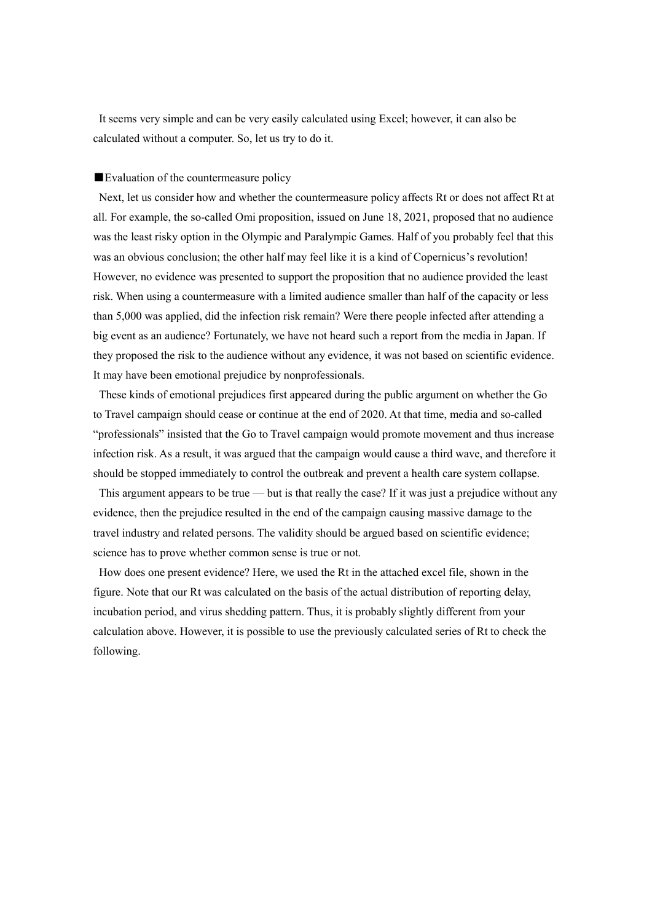It seems very simple and can be very easily calculated using Excel; however, it can also be calculated without a computer. So, let us try to do it.

## ■Evaluation of the countermeasure policy

Next, let us consider how and whether the countermeasure policy affects Rt or does not affect Rt at all. For example, the so-called Omi proposition, issued on June 18, 2021, proposed that no audience was the least risky option in the Olympic and Paralympic Games. Half of you probably feel that this was an obvious conclusion; the other half may feel like it is a kind of Copernicus's revolution! However, no evidence was presented to support the proposition that no audience provided the least risk. When using a countermeasure with a limited audience smaller than half of the capacity or less than 5,000 was applied, did the infection risk remain? Were there people infected after attending a big event as an audience? Fortunately, we have not heard such a report from the media in Japan. If they proposed the risk to the audience without any evidence, it was not based on scientific evidence. It may have been emotional prejudice by nonprofessionals.

These kinds of emotional prejudices first appeared during the public argument on whether the Go to Travel campaign should cease or continue at the end of 2020. At that time, media and so-called "professionals" insisted that the Go to Travel campaign would promote movement and thus increase infection risk. As a result, it was argued that the campaign would cause a third wave, and therefore it should be stopped immediately to control the outbreak and prevent a health care system collapse.

This argument appears to be true — but is that really the case? If it was just a prejudice without any evidence, then the prejudice resulted in the end of the campaign causing massive damage to the travel industry and related persons. The validity should be argued based on scientific evidence; science has to prove whether common sense is true or not.

How does one present evidence? Here, we used the Rt in the attached excel file, shown in the figure. Note that our Rt was calculated on the basis of the actual distribution of reporting delay, incubation period, and virus shedding pattern. Thus, it is probably slightly different from your calculation above. However, it is possible to use the previously calculated series of Rt to check the following.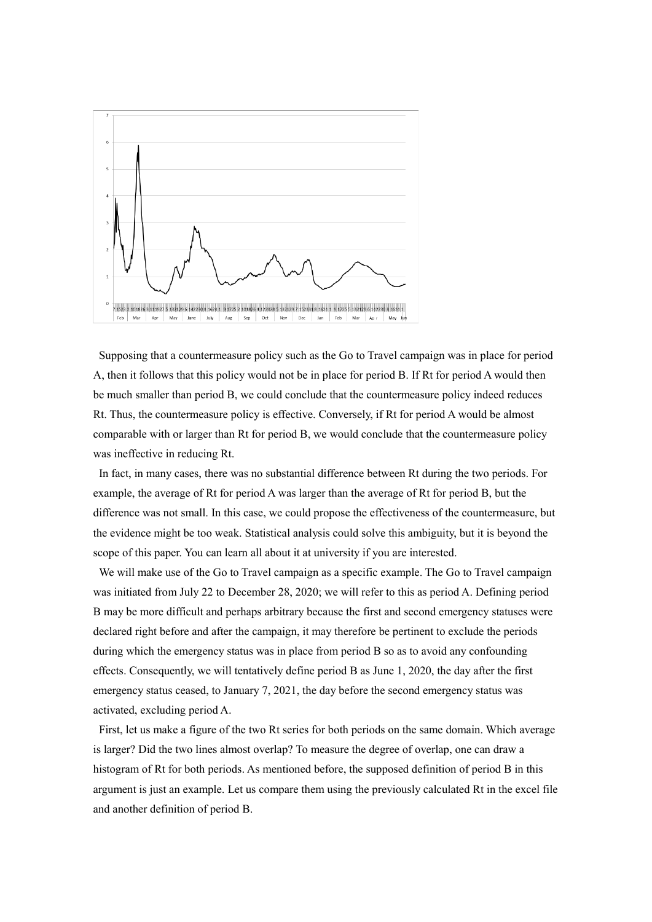

Supposing that a countermeasure policy such as the Go to Travel campaign was in place for period A, then it follows that this policy would not be in place for period B. If Rt for period A would then be much smaller than period B, we could conclude that the countermeasure policy indeed reduces Rt. Thus, the countermeasure policy is effective. Conversely, if Rt for period A would be almost comparable with or larger than Rt for period B, we would conclude that the countermeasure policy was ineffective in reducing Rt.

In fact, in many cases, there was no substantial difference between Rt during the two periods. For example, the average of Rt for period A was larger than the average of Rt for period B, but the difference was not small. In this case, we could propose the effectiveness of the countermeasure, but the evidence might be too weak. Statistical analysis could solve this ambiguity, but it is beyond the scope of this paper. You can learn all about it at university if you are interested.

We will make use of the Go to Travel campaign as a specific example. The Go to Travel campaign was initiated from July 22 to December 28, 2020; we will refer to this as period A. Defining period B may be more difficult and perhaps arbitrary because the first and second emergency statuses were declared right before and after the campaign, it may therefore be pertinent to exclude the periods during which the emergency status was in place from period B so as to avoid any confounding effects. Consequently, we will tentatively define period B as June 1, 2020, the day after the first emergency status ceased, to January 7, 2021, the day before the second emergency status was activated, excluding period A.

First, let us make a figure of the two Rt series for both periods on the same domain. Which average is larger? Did the two lines almost overlap? To measure the degree of overlap, one can draw a histogram of Rt for both periods. As mentioned before, the supposed definition of period B in this argument is just an example. Let us compare them using the previously calculated Rt in the excel file and another definition of period B.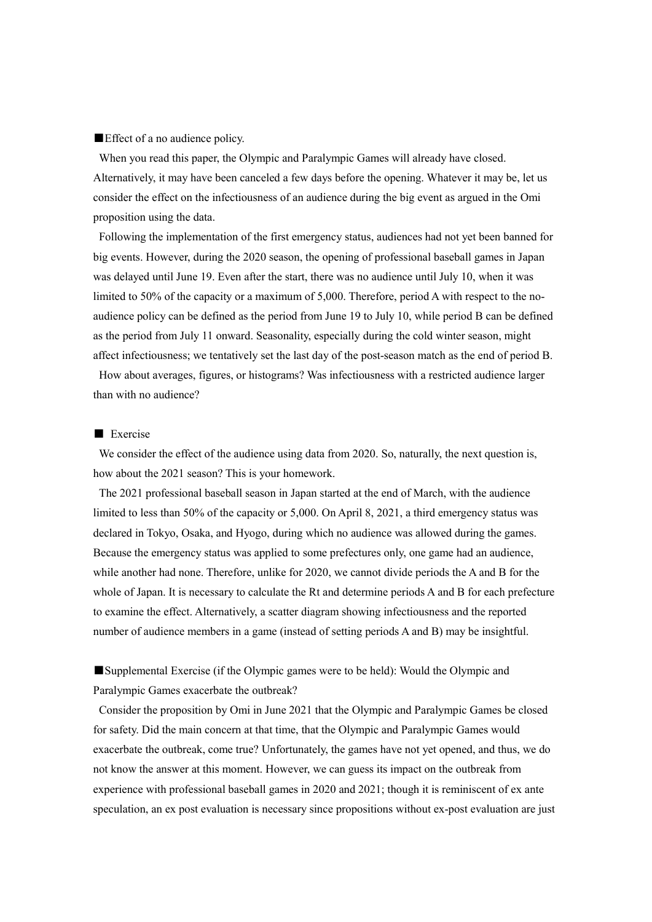## ■Effect of a no audience policy.

When you read this paper, the Olympic and Paralympic Games will already have closed. Alternatively, it may have been canceled a few days before the opening. Whatever it may be, let us consider the effect on the infectiousness of an audience during the big event as argued in the Omi proposition using the data.

Following the implementation of the first emergency status, audiences had not yet been banned for big events. However, during the 2020 season, the opening of professional baseball games in Japan was delayed until June 19. Even after the start, there was no audience until July 10, when it was limited to 50% of the capacity or a maximum of 5,000. Therefore, period A with respect to the noaudience policy can be defined as the period from June 19 to July 10, while period B can be defined as the period from July 11 onward. Seasonality, especially during the cold winter season, might affect infectiousness; we tentatively set the last day of the post-season match as the end of period B.

How about averages, figures, or histograms? Was infectiousness with a restricted audience larger than with no audience?

### ■ Exercise

We consider the effect of the audience using data from 2020. So, naturally, the next question is, how about the 2021 season? This is your homework.

The 2021 professional baseball season in Japan started at the end of March, with the audience limited to less than 50% of the capacity or 5,000. On April 8, 2021, a third emergency status was declared in Tokyo, Osaka, and Hyogo, during which no audience was allowed during the games. Because the emergency status was applied to some prefectures only, one game had an audience, while another had none. Therefore, unlike for 2020, we cannot divide periods the A and B for the whole of Japan. It is necessary to calculate the Rt and determine periods A and B for each prefecture to examine the effect. Alternatively, a scatter diagram showing infectiousness and the reported number of audience members in a game (instead of setting periods A and B) may be insightful.

■Supplemental Exercise (if the Olympic games were to be held): Would the Olympic and Paralympic Games exacerbate the outbreak?

Consider the proposition by Omi in June 2021 that the Olympic and Paralympic Games be closed for safety. Did the main concern at that time, that the Olympic and Paralympic Games would exacerbate the outbreak, come true? Unfortunately, the games have not yet opened, and thus, we do not know the answer at this moment. However, we can guess its impact on the outbreak from experience with professional baseball games in 2020 and 2021; though it is reminiscent of ex ante speculation, an ex post evaluation is necessary since propositions without ex-post evaluation are just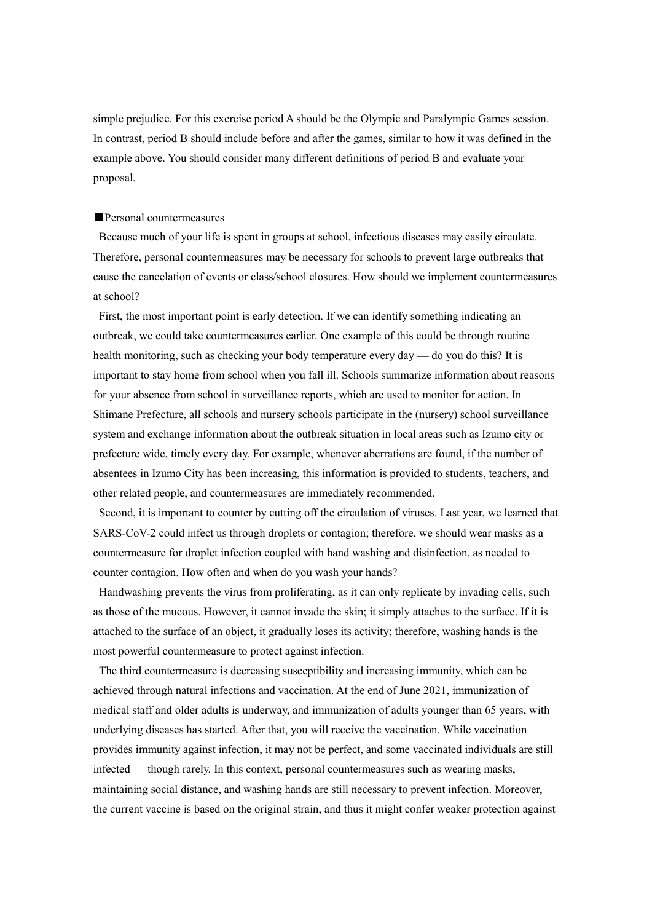simple prejudice. For this exercise period A should be the Olympic and Paralympic Games session. In contrast, period B should include before and after the games, similar to how it was defined in the example above. You should consider many different definitions of period B and evaluate your proposal.

#### ■Personal countermeasures

Because much of your life is spent in groups at school, infectious diseases may easily circulate. Therefore, personal countermeasures may be necessary for schools to prevent large outbreaks that cause the cancelation of events or class/school closures. How should we implement countermeasures at school?

First, the most important point is early detection. If we can identify something indicating an outbreak, we could take countermeasures earlier. One example of this could be through routine health monitoring, such as checking your body temperature every day — do you do this? It is important to stay home from school when you fall ill. Schools summarize information about reasons for your absence from school in surveillance reports, which are used to monitor for action. In Shimane Prefecture, all schools and nursery schools participate in the (nursery) school surveillance system and exchange information about the outbreak situation in local areas such as Izumo city or prefecture wide, timely every day. For example, whenever aberrations are found, if the number of absentees in Izumo City has been increasing, this information is provided to students, teachers, and other related people, and countermeasures are immediately recommended.

Second, it is important to counter by cutting off the circulation of viruses. Last year, we learned that SARS-CoV-2 could infect us through droplets or contagion; therefore, we should wear masks as a countermeasure for droplet infection coupled with hand washing and disinfection, as needed to counter contagion. How often and when do you wash your hands?

Handwashing prevents the virus from proliferating, as it can only replicate by invading cells, such as those of the mucous. However, it cannot invade the skin; it simply attaches to the surface. If it is attached to the surface of an object, it gradually loses its activity; therefore, washing hands is the most powerful countermeasure to protect against infection.

The third countermeasure is decreasing susceptibility and increasing immunity, which can be achieved through natural infections and vaccination. At the end of June 2021, immunization of medical staff and older adults is underway, and immunization of adults younger than 65 years, with underlying diseases has started. After that, you will receive the vaccination. While vaccination provides immunity against infection, it may not be perfect, and some vaccinated individuals are still infected — though rarely. In this context, personal countermeasures such as wearing masks, maintaining social distance, and washing hands are still necessary to prevent infection. Moreover, the current vaccine is based on the original strain, and thus it might confer weaker protection against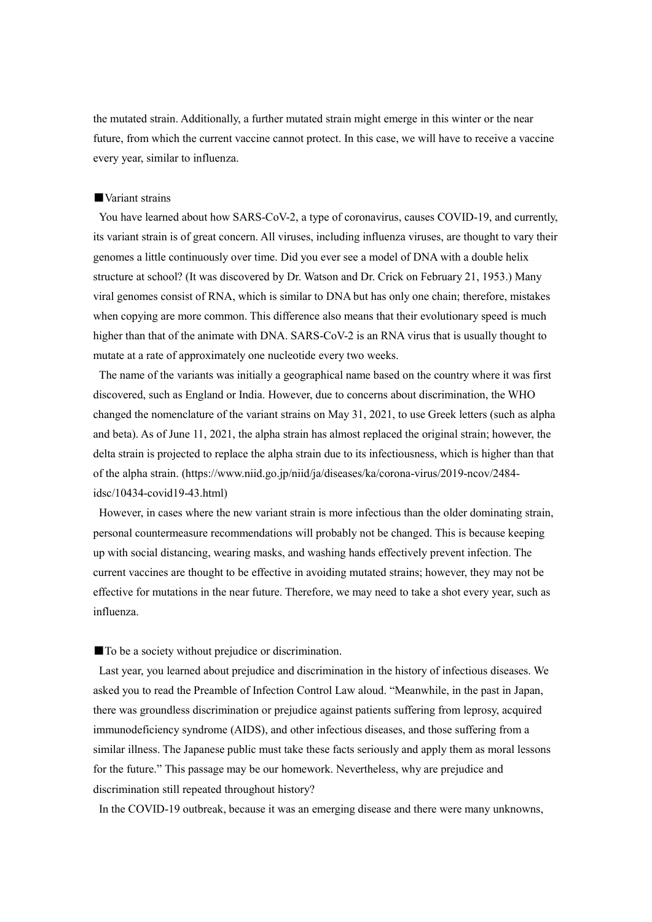the mutated strain. Additionally, a further mutated strain might emerge in this winter or the near future, from which the current vaccine cannot protect. In this case, we will have to receive a vaccine every year, similar to influenza.

# ■Variant strains

You have learned about how SARS-CoV-2, a type of coronavirus, causes COVID-19, and currently, its variant strain is of great concern. All viruses, including influenza viruses, are thought to vary their genomes a little continuously over time. Did you ever see a model of DNA with a double helix structure at school? (It was discovered by Dr. Watson and Dr. Crick on February 21, 1953.) Many viral genomes consist of RNA, which is similar to DNA but has only one chain; therefore, mistakes when copying are more common. This difference also means that their evolutionary speed is much higher than that of the animate with DNA. SARS-CoV-2 is an RNA virus that is usually thought to mutate at a rate of approximately one nucleotide every two weeks.

The name of the variants was initially a geographical name based on the country where it was first discovered, such as England or India. However, due to concerns about discrimination, the WHO changed the nomenclature of the variant strains on May 31, 2021, to use Greek letters (such as alpha and beta). As of June 11, 2021, the alpha strain has almost replaced the original strain; however, the delta strain is projected to replace the alpha strain due to its infectiousness, which is higher than that of the alpha strain. (https://www.niid.go.jp/niid/ja/diseases/ka/corona-virus/2019-ncov/2484 idsc/10434-covid19-43.html)

However, in cases where the new variant strain is more infectious than the older dominating strain, personal countermeasure recommendations will probably not be changed. This is because keeping up with social distancing, wearing masks, and washing hands effectively prevent infection. The current vaccines are thought to be effective in avoiding mutated strains; however, they may not be effective for mutations in the near future. Therefore, we may need to take a shot every year, such as influenza.

■ To be a society without prejudice or discrimination.

Last year, you learned about prejudice and discrimination in the history of infectious diseases. We asked you to read the Preamble of Infection Control Law aloud. "Meanwhile, in the past in Japan, there was groundless discrimination or prejudice against patients suffering from leprosy, acquired immunodeficiency syndrome (AIDS), and other infectious diseases, and those suffering from a similar illness. The Japanese public must take these facts seriously and apply them as moral lessons for the future." This passage may be our homework. Nevertheless, why are prejudice and discrimination still repeated throughout history?

In the COVID-19 outbreak, because it was an emerging disease and there were many unknowns,